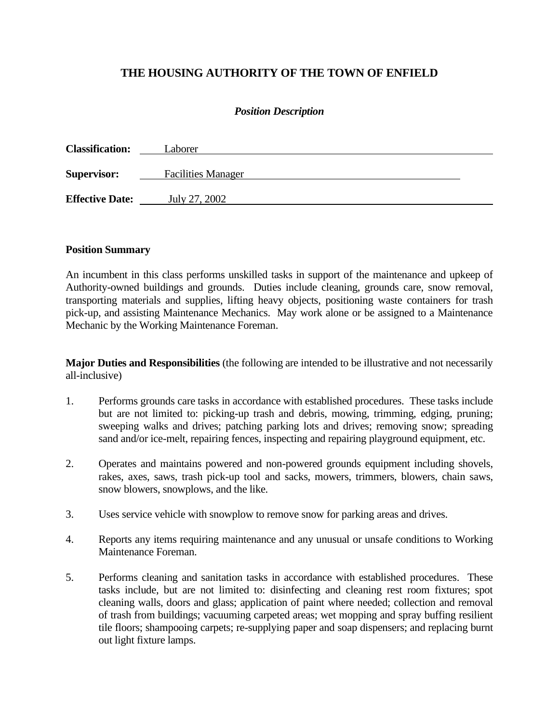# **THE HOUSING AUTHORITY OF THE TOWN OF ENFIELD**

#### *Position Description*

| <b>Classification:</b> | Laborer                   |  |
|------------------------|---------------------------|--|
| <b>Supervisor:</b>     | <b>Facilities Manager</b> |  |
| <b>Effective Date:</b> | July 27, 2002             |  |

#### **Position Summary**

An incumbent in this class performs unskilled tasks in support of the maintenance and upkeep of Authority-owned buildings and grounds. Duties include cleaning, grounds care, snow removal, transporting materials and supplies, lifting heavy objects, positioning waste containers for trash pick-up, and assisting Maintenance Mechanics. May work alone or be assigned to a Maintenance Mechanic by the Working Maintenance Foreman.

**Major Duties and Responsibilities** (the following are intended to be illustrative and not necessarily all-inclusive)

- 1. Performs grounds care tasks in accordance with established procedures. These tasks include but are not limited to: picking-up trash and debris, mowing, trimming, edging, pruning; sweeping walks and drives; patching parking lots and drives; removing snow; spreading sand and/or ice-melt, repairing fences, inspecting and repairing playground equipment, etc.
- 2. Operates and maintains powered and non-powered grounds equipment including shovels, rakes, axes, saws, trash pick-up tool and sacks, mowers, trimmers, blowers, chain saws, snow blowers, snowplows, and the like.
- 3. Uses service vehicle with snowplow to remove snow for parking areas and drives.
- 4. Reports any items requiring maintenance and any unusual or unsafe conditions to Working Maintenance Foreman.
- 5. Performs cleaning and sanitation tasks in accordance with established procedures. These tasks include, but are not limited to: disinfecting and cleaning rest room fixtures; spot cleaning walls, doors and glass; application of paint where needed; collection and removal of trash from buildings; vacuuming carpeted areas; wet mopping and spray buffing resilient tile floors; shampooing carpets; re-supplying paper and soap dispensers; and replacing burnt out light fixture lamps.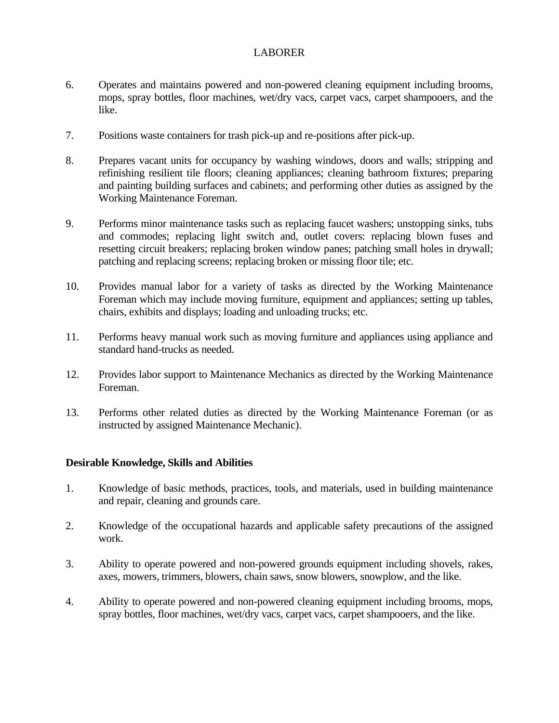#### LABORER

- 6. Operates and maintains powered and non-powered cleaning equipment including brooms, mops, spray bottles, floor machines, wet/dry vacs, carpet vacs, carpet shampooers, and the like.
- 7. Positions waste containers for trash pick-up and re-positions after pick-up.
- 8. Prepares vacant units for occupancy by washing windows, doors and walls; stripping and refinishing resilient tile floors; cleaning appliances; cleaning bathroom fixtures; preparing and painting building surfaces and cabinets; and performing other duties as assigned by the Working Maintenance Foreman.
- 9. Performs minor maintenance tasks such as replacing faucet washers; unstopping sinks, tubs and commodes; replacing light switch and, outlet covers: replacing blown fuses and resetting circuit breakers; replacing broken window panes; patching small holes in drywall; patching and replacing screens; replacing broken or missing floor tile; etc.
- 10. Provides manual labor for a variety of tasks as directed by the Working Maintenance Foreman which may include moving furniture, equipment and appliances; setting up tables, chairs, exhibits and displays; loading and unloading trucks; etc.
- 11. Performs heavy manual work such as moving furniture and appliances using appliance and standard hand-trucks as needed.
- 12. Provides labor support to Maintenance Mechanics as directed by the Working Maintenance Foreman.
- 13. Performs other related duties as directed by the Working Maintenance Foreman (or as instructed by assigned Maintenance Mechanic).

#### **Desirable Knowledge, Skills and Abilities**

- 1. Knowledge of basic methods, practices, tools, and materials, used in building maintenance and repair, cleaning and grounds care.
- 2. Knowledge of the occupational hazards and applicable safety precautions of the assigned work.
- 3. Ability to operate powered and non-powered grounds equipment including shovels, rakes, axes, mowers, trimmers, blowers, chain saws, snow blowers, snowplow, and the like.
- 4. Ability to operate powered and non-powered cleaning equipment including brooms, mops, spray bottles, floor machines, wet/dry vacs, carpet vacs, carpet shampooers, and the like.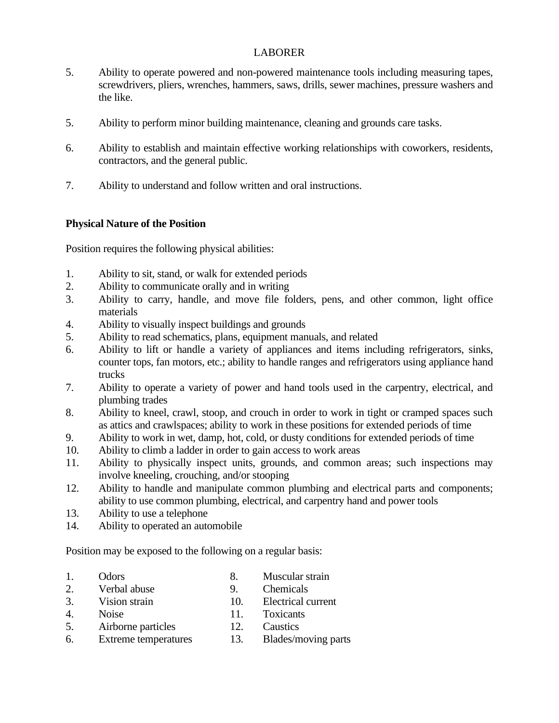#### LABORER

- 5. Ability to operate powered and non-powered maintenance tools including measuring tapes, screwdrivers, pliers, wrenches, hammers, saws, drills, sewer machines, pressure washers and the like.
- 5. Ability to perform minor building maintenance, cleaning and grounds care tasks.
- 6. Ability to establish and maintain effective working relationships with coworkers, residents, contractors, and the general public.
- 7. Ability to understand and follow written and oral instructions.

#### **Physical Nature of the Position**

Position requires the following physical abilities:

- 1. Ability to sit, stand, or walk for extended periods
- 2. Ability to communicate orally and in writing
- 3. Ability to carry, handle, and move file folders, pens, and other common, light office materials
- 4. Ability to visually inspect buildings and grounds
- 5. Ability to read schematics, plans, equipment manuals, and related
- 6. Ability to lift or handle a variety of appliances and items including refrigerators, sinks, counter tops, fan motors, etc.; ability to handle ranges and refrigerators using appliance hand trucks
- 7. Ability to operate a variety of power and hand tools used in the carpentry, electrical, and plumbing trades
- 8. Ability to kneel, crawl, stoop, and crouch in order to work in tight or cramped spaces such as attics and crawlspaces; ability to work in these positions for extended periods of time
- 9. Ability to work in wet, damp, hot, cold, or dusty conditions for extended periods of time
- 10. Ability to climb a ladder in order to gain access to work areas
- 11. Ability to physically inspect units, grounds, and common areas; such inspections may involve kneeling, crouching, and/or stooping
- 12. Ability to handle and manipulate common plumbing and electrical parts and components; ability to use common plumbing, electrical, and carpentry hand and power tools
- 13. Ability to use a telephone
- 14. Ability to operated an automobile

Position may be exposed to the following on a regular basis:

- 1. Odors 8. Muscular strain<br>
2. Verbal abuse 9. Chemicals
- 2. Verbal abuse 9.
- 3. Vision strain 10. Electrical current
- 4. Noise 11. Toxicants
- 5. Airborne particles 12. Caustics
- 6. Extreme temperatures 13. Blades/moving parts